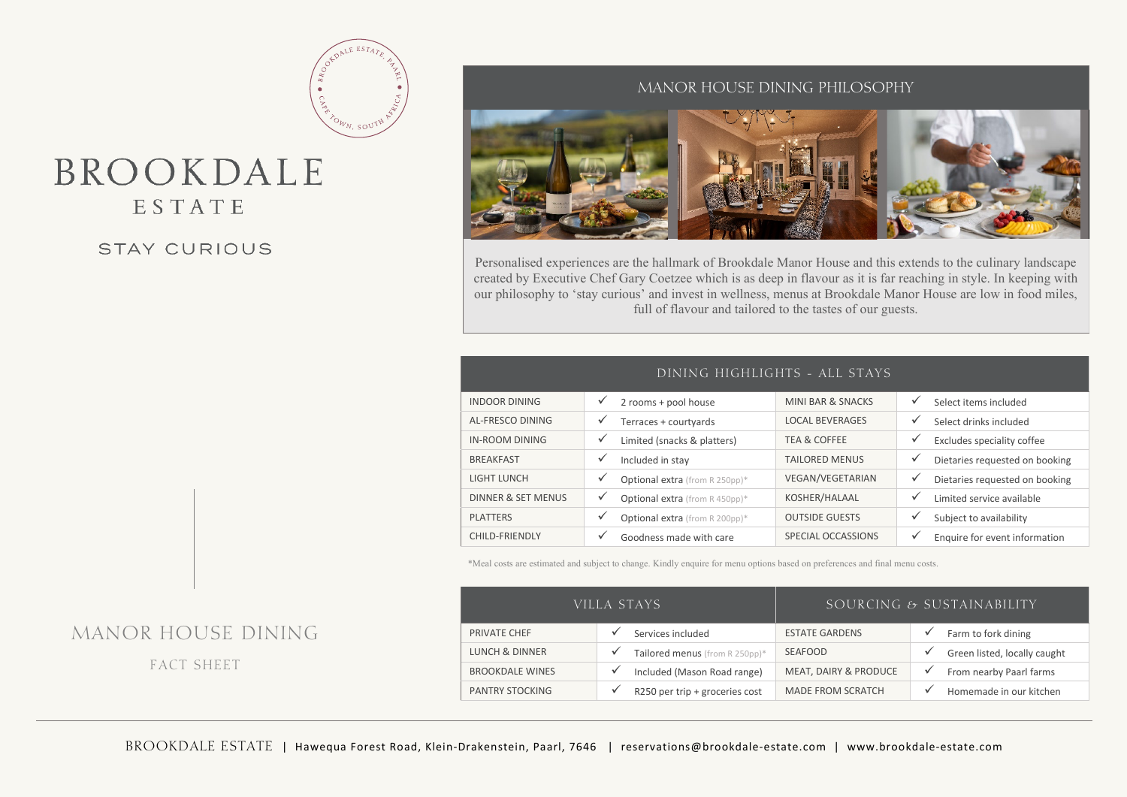# BROOKDALE ESTATE

## **STAY CURIOUS**

## MANOR HOUSE DINING PHILOSOPHY



Personalised experiences are the hallmark of Brookdale Manor House and this extends to the culinary landscape created by Executive Chef Gary Coetzee which is as deep in flavour as it is far reaching in style. In keeping with our philosophy to 'stay curious' and invest in wellness, menus at Brookdale Manor House are low in food miles, full of flavour and tailored to the tastes of our guests.

| DINING HIGHLIGHTS - ALL STAYS |                                     |                         |                                               |  |  |  |  |
|-------------------------------|-------------------------------------|-------------------------|-----------------------------------------------|--|--|--|--|
| <b>INDOOR DINING</b>          | 2 rooms + pool house                | MINI BAR & SNACKS       | ✓<br>Select items included                    |  |  |  |  |
| AL-FRESCO DINING              | Terraces + courtyards               | <b>LOCAL BEVERAGES</b>  | ✓<br>Select drinks included                   |  |  |  |  |
| <b>IN-ROOM DINING</b>         | ✓<br>Limited (snacks & platters)    | <b>TEA &amp; COFFEE</b> | ✓<br>Excludes speciality coffee               |  |  |  |  |
| <b>BREAKFAST</b>              | Included in stay                    | <b>TAILORED MENUS</b>   | ✓<br>Dietaries requested on booking           |  |  |  |  |
| <b>LIGHT LUNCH</b>            | Optional extra (from R 250pp)*      | VEGAN/VEGETARIAN        | ✓<br>Dietaries requested on booking           |  |  |  |  |
| <b>DINNER &amp; SET MENUS</b> | ✓<br>Optional extra (from R 450pp)* | KOSHER/HALAAL           | ✓<br>Limited service available                |  |  |  |  |
| <b>PLATTERS</b>               | Optional extra (from R 200pp)*      | <b>OUTSIDE GUESTS</b>   | ✓<br>Subject to availability                  |  |  |  |  |
| CHILD-FRIENDLY                | Goodness made with care             | SPECIAL OCCASSIONS      | $\checkmark$<br>Enquire for event information |  |  |  |  |

\*Meal costs are estimated and subject to change. Kindly enquire for menu options based on preferences and final menu costs.

| VILLA STAYS'              |                                  | SOURCING $\epsilon_2$ sustainability |                              |  |
|---------------------------|----------------------------------|--------------------------------------|------------------------------|--|
| PRIVATE CHEF              | Services included                | <b>ESTATE GARDENS</b>                | Farm to fork dining          |  |
| <b>LUNCH &amp; DINNER</b> | Tailored menus (from R 250pp)*   | <b>SEAFOOD</b>                       | Green listed, locally caught |  |
| <b>BROOKDALE WINES</b>    | Included (Mason Road range)<br>v | MEAT, DAIRY & PRODUCE                | From nearby Paarl farms      |  |
| <b>PANTRY STOCKING</b>    | R250 per trip + groceries cost   | <b>MADE FROM SCRATCH</b>             | Homemade in our kitchen      |  |

## MANOR HOUSE DINING

FACT SHEET